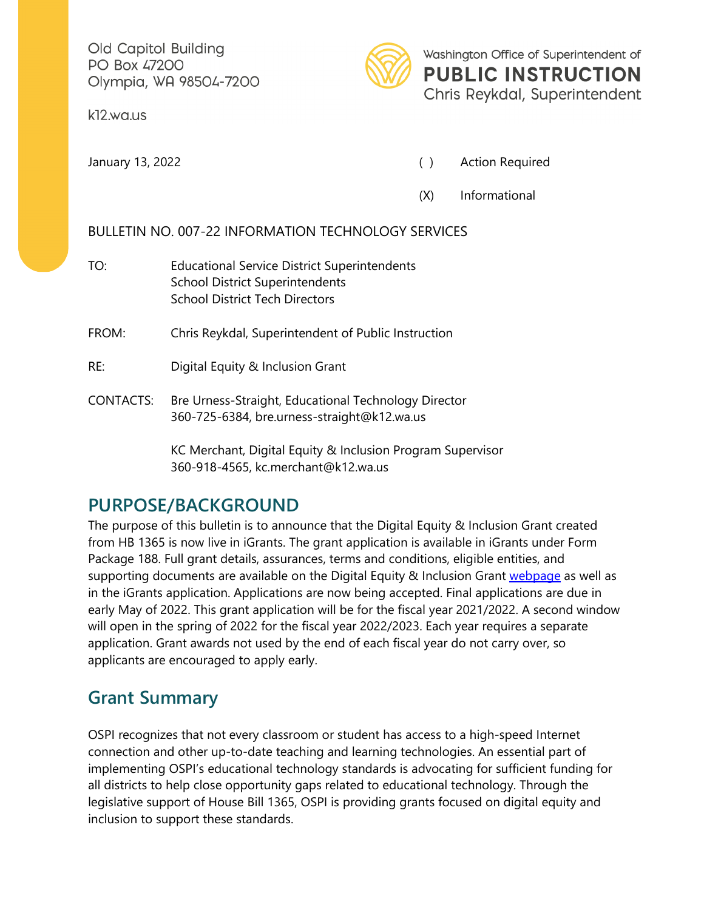Old Capitol Building PO Box 47200 Olympia, WA 98504-7200

k12.wa.us



Washington Office of Superintendent of **PUBLIC INSTRUCTION** 

Chris Reykdal, Superintendent

January 13, 2022 **(a)** Action Required

(X) Informational

## BULLETIN NO. 007-22 INFORMATION TECHNOLOGY SERVICES

TO: Educational Service District Superintendents School District Superintendents School District Tech Directors

FROM: Chris Reykdal, Superintendent of Public Instruction

- RE: Digital Equity & Inclusion Grant
- CONTACTS: Bre Urness-Straight, Educational Technology Director 360-725-6384, bre.urness-straight@k12.wa.us

KC Merchant, Digital Equity & Inclusion Program Supervisor 360-918-4565, kc.merchant@k12.wa.us

## **PURPOSE/BACKGROUND**

The purpose of this bulletin is to announce that the Digital Equity & Inclusion Grant created from HB 1365 is now live in iGrants. The grant application is available in iGrants under Form Package 188. Full grant details, assurances, terms and conditions, eligible entities, and supporting documents are available on the Digital Equity & Inclusion Grant [webpage](https://k12.wa.us/policy-funding/grants-grant-management/digital-equity-and-inclusion-grant) as well as in the iGrants application. Applications are now being accepted. Final applications are due in early May of 2022. This grant application will be for the fiscal year 2021/2022. A second window will open in the spring of 2022 for the fiscal year 2022/2023. Each year requires a separate application. Grant awards not used by the end of each fiscal year do not carry over, so applicants are encouraged to apply early.

## **Grant Summary**

OSPI recognizes that not every classroom or student has access to a high-speed Internet connection and other up-to-date teaching and learning technologies. An essential part of implementing OSPI's educational technology standards is advocating for sufficient funding for all districts to help close opportunity gaps related to educational technology. Through the legislative support of House Bill 1365, OSPI is providing grants focused on digital equity and inclusion to support these standards.